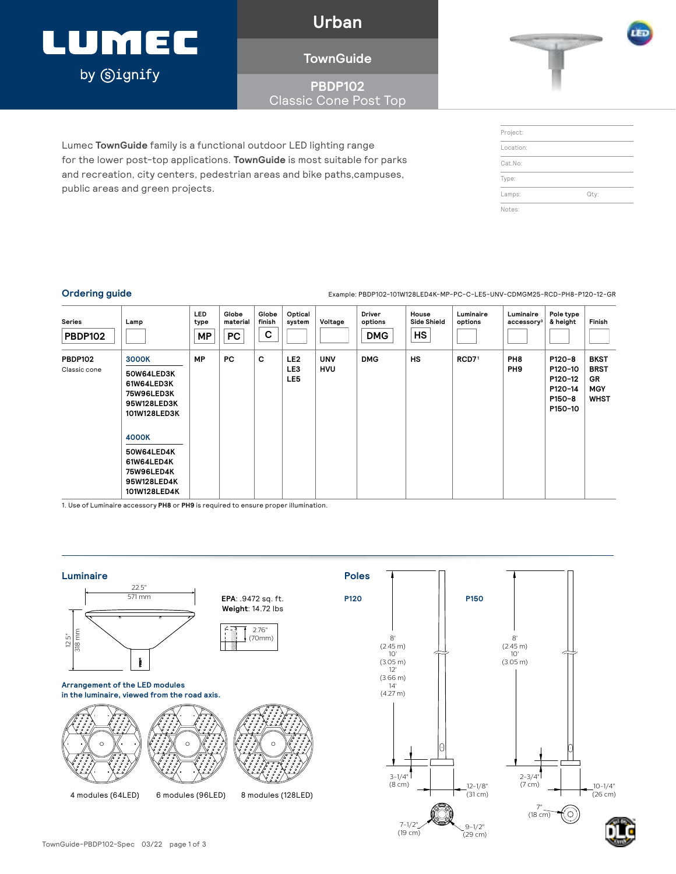# LUMEC by **Signify**

**Urban**

### **TownGuide**

### **PBDP102** Classic Cone Post Top

Lumec **TownGuide** family is a functional outdoor LED lighting range for the lower post-top applications. **TownGuide** is most suitable for parks and recreation, city centers, pedestrian areas and bike paths,campuses, public areas and green projects.

| Project:  |      |  |
|-----------|------|--|
| Location: |      |  |
| Cat.No:   |      |  |
| Type:     |      |  |
| Lamps:    | Qty: |  |
| Notes:    |      |  |

**Ordering guide** Example: PBDP102-101W128LED4K-MP-PC-C-LE5-UNV-CDMGM25-RCD-PH8-P120-12-GR

| <b>Series</b><br><b>PBDP102</b> | Lamp                                                                                  | <b>LED</b><br>type<br>MP | Globe<br>material<br><b>PC</b> | Globe<br>finish<br>C | Optical<br>system             | Voltage                  | Driver<br>options<br><b>DMG</b> | House<br><b>Side Shield</b><br>HS | Luminaire<br>options | Luminaire<br>accessory <sup>3</sup> | Pole type<br>& height                                        | Finish                                                               |
|---------------------------------|---------------------------------------------------------------------------------------|--------------------------|--------------------------------|----------------------|-------------------------------|--------------------------|---------------------------------|-----------------------------------|----------------------|-------------------------------------|--------------------------------------------------------------|----------------------------------------------------------------------|
| <b>PBDP102</b><br>Classic cone  | <b>3000K</b><br>50W64LED3K<br>61W64LED3K<br>75W96LED3K<br>95W128LED3K<br>101W128LED3K | MP                       | <b>PC</b>                      | c                    | LE <sub>2</sub><br>LE3<br>LE5 | <b>UNV</b><br><b>HVU</b> | <b>DMG</b>                      | <b>HS</b>                         | RCD7 <sup>1</sup>    | PH <sub>8</sub><br>PH <sub>9</sub>  | P120-8<br>P120-10<br>P120-12<br>P120-14<br>P150-8<br>P150-10 | <b>BKST</b><br><b>BRST</b><br><b>GR</b><br><b>MGY</b><br><b>WHST</b> |
|                                 | 4000K<br>50W64LED4K<br>61W64LED4K<br>75W96LED4K<br>95W128LED4K<br>101W128LED4K        |                          |                                |                      |                               |                          |                                 |                                   |                      |                                     |                                                              |                                                                      |

1. Use of Luminaire accessory **PH8** or **PH9** is required to ensure proper illumination.



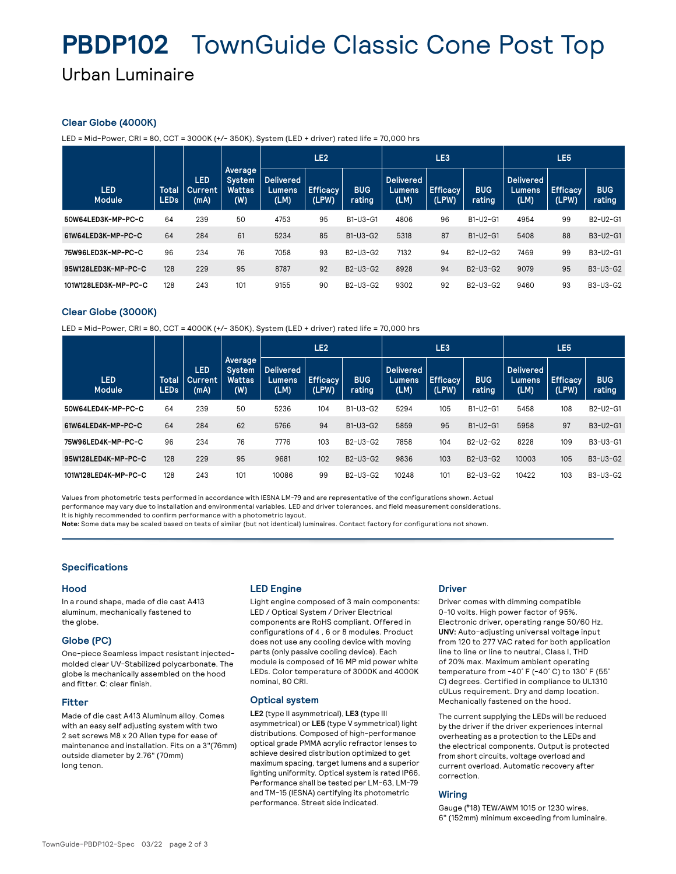# **PBDP102** TownGuide Classic Cone Post Top Urban Luminaire

### **Clear Globe (4000K)**

LED = Mid-Power, CRI = 80, CCT = 3000K (+/- 350K), System (LED + driver) rated life = 70,000 hrs

|                             |                             |                               |                                           |                                           | LE <sub>2</sub>          |                                                | LE <sub>3</sub>                     |                          |                      | LE <sub>5</sub>                    |                          |                      |
|-----------------------------|-----------------------------|-------------------------------|-------------------------------------------|-------------------------------------------|--------------------------|------------------------------------------------|-------------------------------------|--------------------------|----------------------|------------------------------------|--------------------------|----------------------|
| <b>LED</b><br><b>Module</b> | <b>Total</b><br><b>LEDs</b> | <b>LED</b><br>Current<br>(mA) | Average<br>System<br><b>Wattas</b><br>(W) | <b>Delivered</b><br><b>Lumens</b><br>(LM) | <b>Efficacy</b><br>(LPW) | <b>BUG</b><br>rating                           | <b>Delivered</b><br>Lumens.<br>(LM) | <b>Efficacy</b><br>(LPW) | <b>BUG</b><br>rating | <b>Delivered</b><br>Lumens<br>(LM) | <b>Efficacy</b><br>(LPW) | <b>BUG</b><br>rating |
| 50W64LED3K-MP-PC-C          | 64                          | 239                           | 50                                        | 4753                                      | 95                       | B1-U3-G1                                       | 4806                                | 96                       | B1-U2-G1             | 4954                               | 99                       | B2-U2-G1             |
| 61W64LED3K-MP-PC-C          | 64                          | 284                           | 61                                        | 5234                                      | 85                       | $B1-U3-G2$                                     | 5318                                | 87                       | B1-U2-G1             | 5408                               | 88                       | B3-U2-G1             |
| 75W96LED3K-MP-PC-C          | 96                          | 234                           | 76                                        | 7058                                      | 93                       | B2-U3-G2                                       | 7132                                | 94                       | B2-U2-G2             | 7469                               | 99                       | B3-U2-G1             |
| 95W128LED3K-MP-PC-C         | 128                         | 229                           | 95                                        | 8787                                      | 92                       | B <sub>2</sub> -U <sub>3</sub> -G <sub>2</sub> | 8928                                | 94                       | B2-U3-G2             | 9079                               | 95                       | B3-U3-G2             |
| 101W128LED3K-MP-PC-C        | 128                         | 243                           | 101                                       | 9155                                      | 90                       | B2-U3-G2                                       | 9302                                | 92                       | B2-U3-G2             | 9460                               | 93                       | B3-U3-G2             |

### **Clear Globe (3000K)**

LED = Mid-Power, CRI = 80, CCT = 4000K (+/- 350K), System (LED + driver) rated life = 70,000 hrs

|                             |                             |                               |                                           |                                     | LE <sub>2</sub>          |                                                | LE <sub>3</sub>                     |                          |                                                | LE <sub>5</sub>                     |                          |                      |
|-----------------------------|-----------------------------|-------------------------------|-------------------------------------------|-------------------------------------|--------------------------|------------------------------------------------|-------------------------------------|--------------------------|------------------------------------------------|-------------------------------------|--------------------------|----------------------|
| <b>LED</b><br><b>Module</b> | <b>Total</b><br><b>LEDs</b> | <b>LED</b><br>Current<br>(mA) | Average<br>System<br><b>Wattas</b><br>(W) | <b>Delivered</b><br>Lumens.<br>(LM) | <b>Efficacy</b><br>(LPW) | <b>BUG</b><br>rating                           | <b>Delivered</b><br>Lumens,<br>(LM) | <b>Efficacy</b><br>(LPW) | <b>BUG</b><br>rating                           | <b>Delivered</b><br>Lumens.<br>(LM) | <b>Efficacy</b><br>(LPW) | <b>BUG</b><br>rating |
| 50W64LED4K-MP-PC-C          | 64                          | 239                           | 50                                        | 5236                                | 104                      | $B1-U3-G2$                                     | 5294                                | 105                      | B1-U2-G1                                       | 5458                                | 108                      | B2-U2-G1             |
| 61W64LED4K-MP-PC-C          | 64                          | 284                           | 62                                        | 5766                                | 94                       | $B1-U3-G2$                                     | 5859                                | 95                       | B1-U2-G1                                       | 5958                                | 97                       | B3-U2-G1             |
| 75W96LED4K-MP-PC-C          | 96                          | 234                           | 76                                        | 7776                                | 103                      | B2-U3-G2                                       | 7858                                | 104                      | B <sub>2</sub> -U <sub>2</sub> -G <sub>2</sub> | 8228                                | 109                      | B3-U3-G1             |
| 95W128LED4K-MP-PC-C         | 128                         | 229                           | 95                                        | 9681                                | 102                      | B <sub>2</sub> -U <sub>3</sub> -G <sub>2</sub> | 9836                                | 103                      | B2-U3-G2                                       | 10003                               | 105                      | B3-U3-G2             |
| 101W128LED4K-MP-PC-C        | 128                         | 243                           | 101                                       | 10086                               | 99                       | B2-U3-G2                                       | 10248                               | 101                      | B2-U3-G2                                       | 10422                               | 103                      | B3-U3-G2             |

Values from photometric tests performed in accordance with IESNA LM-79 and are representative of the configurations shown. Actual performance may vary due to installation and environmental variables, LED and driver tolerances, and field measurement considerations. It is highly recommended to confirm performance with a photometric layout.

**Note:** Some data may be scaled based on tests of similar (but not identical) luminaires. Contact factory for configurations not shown.

### **Specifications**

### **Hood**

In a round shape, made of die cast A413 aluminum, mechanically fastened to the globe.

### **Globe (PC)**

One-piece Seamless impact resistant injectedmolded clear UV-Stabilized polycarbonate. The globe is mechanically assembled on the hood and fitter. **C**: clear finish.

### **Fitter**

Made of die cast A413 Aluminum alloy. Comes with an easy self adjusting system with two 2 set screws M8 x 20 Allen type for ease of maintenance and installation. Fits on a 3"(76mm) outside diameter by 2.76" (70mm) long tenon.

### **LED Engine**

Light engine composed of 3 main components: LED / Optical System / Driver Electrical components are RoHS compliant. Offered in configurations of 4 , 6 or 8 modules. Product does not use any cooling device with moving parts (only passive cooling device). Each module is composed of 16 MP mid power white LEDs. Color temperature of 3000K and 4000K nominal, 80 CRI.

### **Optical system**

**LE2** (type II asymmetrical), **LE3** (type III asymmetrical) or **LE5** (type V symmetrical) light distributions. Composed of high-performance optical grade PMMA acrylic refractor lenses to achieve desired distribution optimized to get maximum spacing, target lumens and a superior lighting uniformity. Optical system is rated IP66. Performance shall be tested per LM-63, LM-79 and TM-15 (IESNA) certifying its photometric performance. Street side indicated.

### **Driver**

Driver comes with dimming compatible 0-10 volts. High power factor of 95%. Electronic driver, operating range 50/60 Hz. **UNV:** Auto-adjusting universal voltage input from 120 to 277 VAC rated for both application line to line or line to neutral, Class I, THD of 20% max. Maximum ambient operating temperature from -40˚ F (-40˚ C) to 130˚ F (55˚ C) degrees. Certified in compliance to UL1310 cULus requirement. Dry and damp location. Mechanically fastened on the hood.

The current supplying the LEDs will be reduced by the driver if the driver experiences internal overheating as a protection to the LEDs and the electrical components. Output is protected from short circuits, voltage overload and current overload. Automatic recovery after correction.

### **Wiring**

Gauge (#18) TEW/AWM 1015 or 1230 wires, 6" (152mm) minimum exceeding from luminaire.